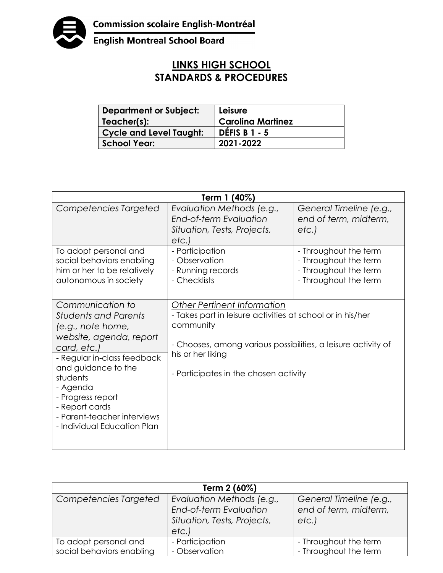

English Montreal School Board

## **LINKS HIGH SCHOOL STANDARDS & PROCEDURES**

| <b>Department or Subject:</b>  | Leisure                  |
|--------------------------------|--------------------------|
| Teacher(s):                    | <b>Carolina Martinez</b> |
| <b>Cycle and Level Taught:</b> | <b>DÉFIS B 1 - 5</b>     |
| <b>School Year:</b>            | 2021-2022                |

| Term 1 (40%)                                                                                                                                                                                                                                                                                      |                                                                                                                                                                                                                                              |                                                                                                  |  |  |
|---------------------------------------------------------------------------------------------------------------------------------------------------------------------------------------------------------------------------------------------------------------------------------------------------|----------------------------------------------------------------------------------------------------------------------------------------------------------------------------------------------------------------------------------------------|--------------------------------------------------------------------------------------------------|--|--|
| Competencies Targeted                                                                                                                                                                                                                                                                             | Evaluation Methods (e.g.,<br>End-of-term Evaluation<br>Situation, Tests, Projects,<br>etc.                                                                                                                                                   | General Timeline (e.g.,<br>end of term, midterm,<br>etc.                                         |  |  |
| To adopt personal and<br>social behaviors enabling<br>him or her to be relatively<br>autonomous in society                                                                                                                                                                                        | - Participation<br>- Observation<br>- Running records<br>- Checklists                                                                                                                                                                        | - Throughout the term<br>- Throughout the term<br>- Throughout the term<br>- Throughout the term |  |  |
| Communication to<br><b>Students and Parents</b><br>(e.g., note home,<br>website, agenda, report<br>card, etc.)<br>- Regular in-class feedback<br>and guidance to the<br>students<br>- Agenda<br>- Progress report<br>- Report cards<br>- Parent-teacher interviews<br>- Individual Education Plan | <b>Other Pertinent Information</b><br>- Takes part in leisure activities at school or in his/her<br>community<br>- Chooses, among various possibilities, a leisure activity of<br>his or her liking<br>- Participates in the chosen activity |                                                                                                  |  |  |

| Term 2 (60%)                                       |                                                                                             |                                                           |  |  |
|----------------------------------------------------|---------------------------------------------------------------------------------------------|-----------------------------------------------------------|--|--|
| Competencies Targeted                              | Evaluation Methods (e.g.,<br>End-of-term Evaluation<br>Situation, Tests, Projects,<br>etc.) | General Timeline (e.g.,<br>end of term, midterm,<br>etc.) |  |  |
| To adopt personal and<br>social behaviors enabling | - Participation<br>- Observation                                                            | - Throughout the term<br>- Throughout the term            |  |  |